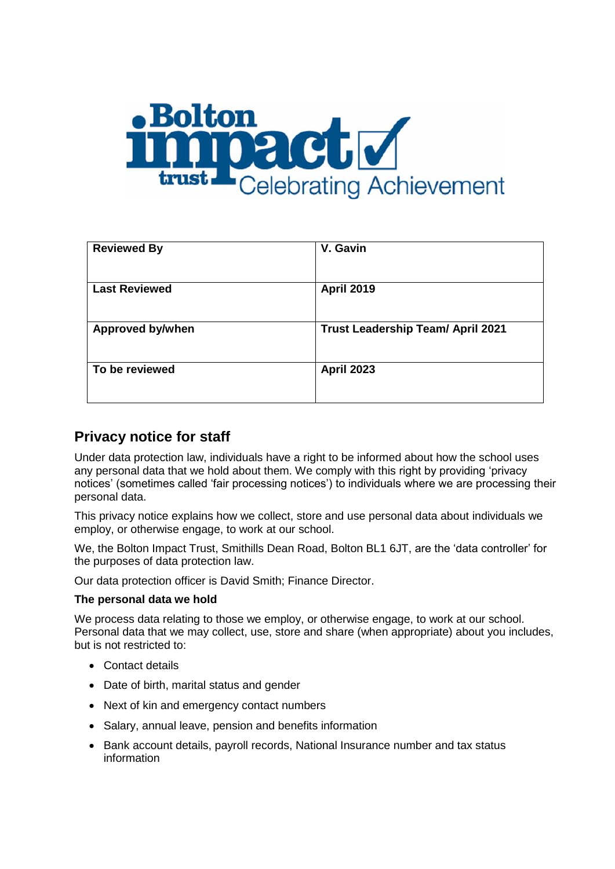

| <b>Reviewed By</b>      | V. Gavin                                 |
|-------------------------|------------------------------------------|
| <b>Last Reviewed</b>    | <b>April 2019</b>                        |
| <b>Approved by/when</b> | <b>Trust Leadership Team/ April 2021</b> |
| To be reviewed          | <b>April 2023</b>                        |

# **Privacy notice for staff**

Under data protection law, individuals have a right to be informed about how the school uses any personal data that we hold about them. We comply with this right by providing 'privacy notices' (sometimes called 'fair processing notices') to individuals where we are processing their personal data.

This privacy notice explains how we collect, store and use personal data about individuals we employ, or otherwise engage, to work at our school.

We, the Bolton Impact Trust, Smithills Dean Road, Bolton BL1 6JT, are the 'data controller' for the purposes of data protection law.

Our data protection officer is David Smith; Finance Director.

#### **The personal data we hold**

We process data relating to those we employ, or otherwise engage, to work at our school. Personal data that we may collect, use, store and share (when appropriate) about you includes, but is not restricted to:

- Contact details
- Date of birth, marital status and gender
- Next of kin and emergency contact numbers
- Salary, annual leave, pension and benefits information
- Bank account details, payroll records, National Insurance number and tax status information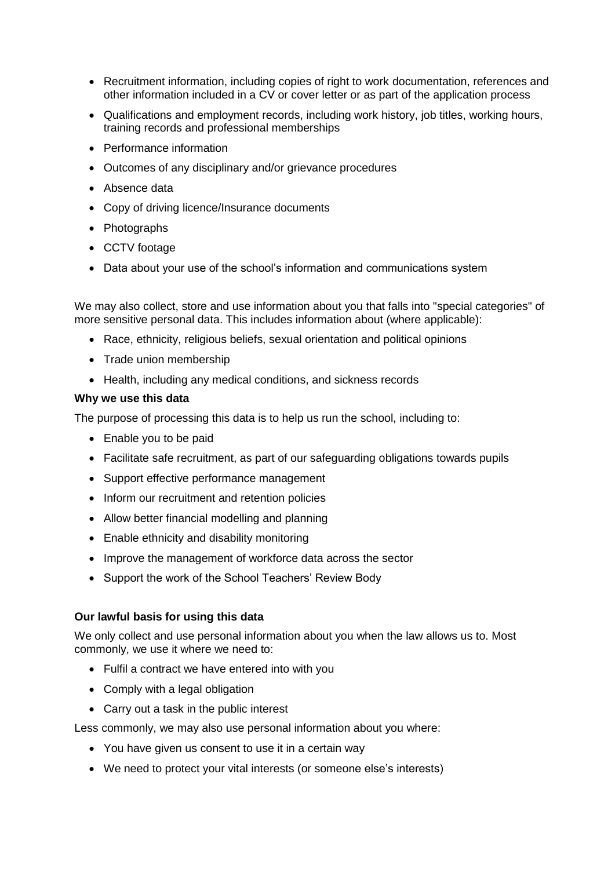- Recruitment information, including copies of right to work documentation, references and other information included in a CV or cover letter or as part of the application process
- Qualifications and employment records, including work history, job titles, working hours, training records and professional memberships
- Performance information
- Outcomes of any disciplinary and/or grievance procedures
- Absence data
- Copy of driving licence/Insurance documents
- Photographs
- CCTV footage
- Data about your use of the school's information and communications system

We may also collect, store and use information about you that falls into "special categories" of more sensitive personal data. This includes information about (where applicable):

- Race, ethnicity, religious beliefs, sexual orientation and political opinions
- Trade union membership
- Health, including any medical conditions, and sickness records

#### **Why we use this data**

The purpose of processing this data is to help us run the school, including to:

- Enable you to be paid
- Facilitate safe recruitment, as part of our safeguarding obligations towards pupils
- Support effective performance management
- Inform our recruitment and retention policies
- Allow better financial modelling and planning
- Enable ethnicity and disability monitoring
- Improve the management of workforce data across the sector
- Support the work of the School Teachers' Review Body

#### **Our lawful basis for using this data**

We only collect and use personal information about you when the law allows us to. Most commonly, we use it where we need to:

- Fulfil a contract we have entered into with you
- Comply with a legal obligation
- Carry out a task in the public interest

Less commonly, we may also use personal information about you where:

- You have given us consent to use it in a certain way
- We need to protect your vital interests (or someone else's interests)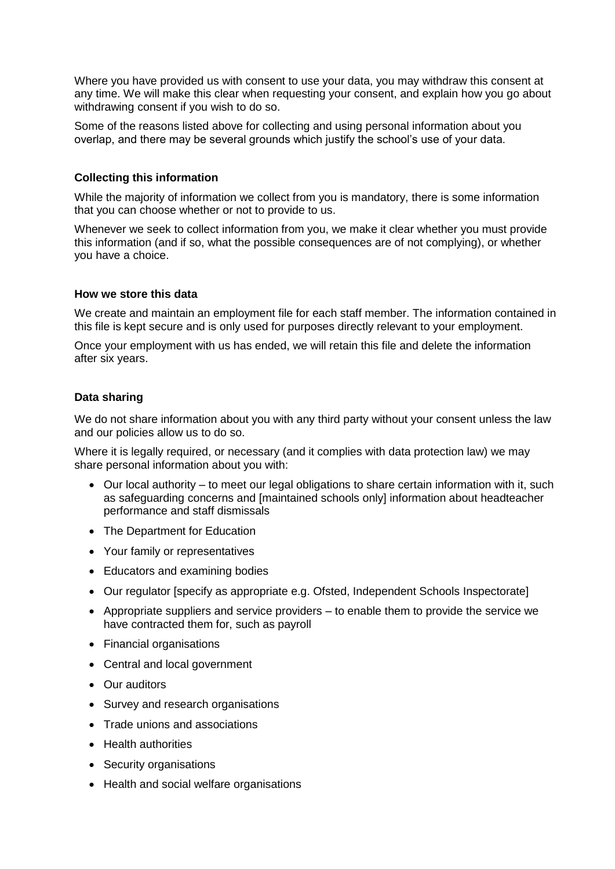Where you have provided us with consent to use your data, you may withdraw this consent at any time. We will make this clear when requesting your consent, and explain how you go about withdrawing consent if you wish to do so.

Some of the reasons listed above for collecting and using personal information about you overlap, and there may be several grounds which justify the school's use of your data.

#### **Collecting this information**

While the majority of information we collect from you is mandatory, there is some information that you can choose whether or not to provide to us.

Whenever we seek to collect information from you, we make it clear whether you must provide this information (and if so, what the possible consequences are of not complying), or whether you have a choice.

#### **How we store this data**

We create and maintain an employment file for each staff member. The information contained in this file is kept secure and is only used for purposes directly relevant to your employment.

Once your employment with us has ended, we will retain this file and delete the information after six years.

#### **Data sharing**

We do not share information about you with any third party without your consent unless the law and our policies allow us to do so.

Where it is legally required, or necessary (and it complies with data protection law) we may share personal information about you with:

- Our local authority to meet our legal obligations to share certain information with it, such as safeguarding concerns and [maintained schools only] information about headteacher performance and staff dismissals
- The Department for Education
- Your family or representatives
- Educators and examining bodies
- Our regulator [specify as appropriate e.g. Ofsted, Independent Schools Inspectorate]
- $\bullet$  Appropriate suppliers and service providers  $-$  to enable them to provide the service we have contracted them for, such as payroll
- Financial organisations
- Central and local government
- Our auditors
- Survey and research organisations
- Trade unions and associations
- Health authorities
- Security organisations
- Health and social welfare organisations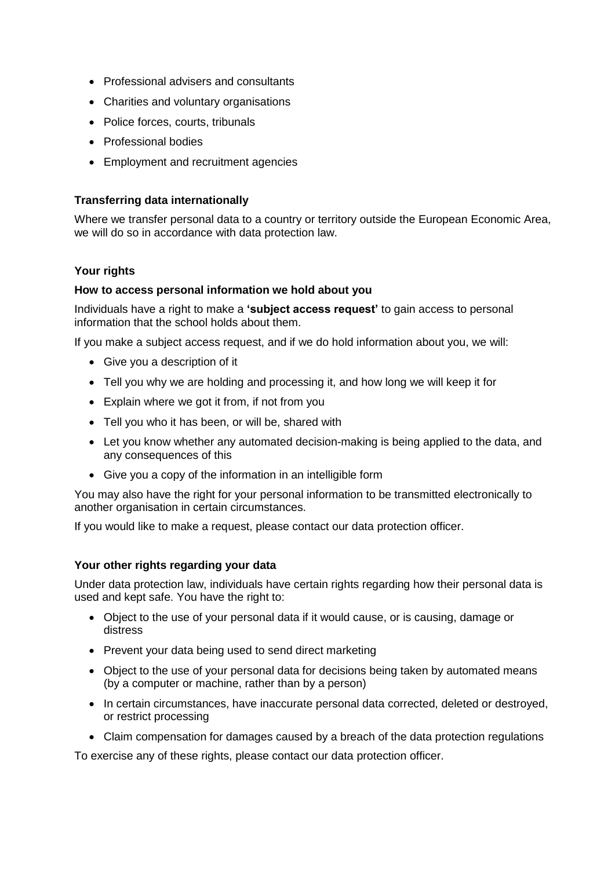- Professional advisers and consultants
- Charities and voluntary organisations
- Police forces, courts, tribunals
- Professional bodies
- Employment and recruitment agencies

#### **Transferring data internationally**

Where we transfer personal data to a country or territory outside the European Economic Area, we will do so in accordance with data protection law.

## **Your rights**

#### **How to access personal information we hold about you**

Individuals have a right to make a **'subject access request'** to gain access to personal information that the school holds about them.

If you make a subject access request, and if we do hold information about you, we will:

- Give you a description of it
- Tell you why we are holding and processing it, and how long we will keep it for
- Explain where we got it from, if not from you
- Tell you who it has been, or will be, shared with
- Let you know whether any automated decision-making is being applied to the data, and any consequences of this
- Give you a copy of the information in an intelligible form

You may also have the right for your personal information to be transmitted electronically to another organisation in certain circumstances.

If you would like to make a request, please contact our data protection officer.

#### **Your other rights regarding your data**

Under data protection law, individuals have certain rights regarding how their personal data is used and kept safe. You have the right to:

- Object to the use of your personal data if it would cause, or is causing, damage or distress
- Prevent your data being used to send direct marketing
- Object to the use of your personal data for decisions being taken by automated means (by a computer or machine, rather than by a person)
- In certain circumstances, have inaccurate personal data corrected, deleted or destroyed, or restrict processing
- Claim compensation for damages caused by a breach of the data protection regulations

To exercise any of these rights, please contact our data protection officer.